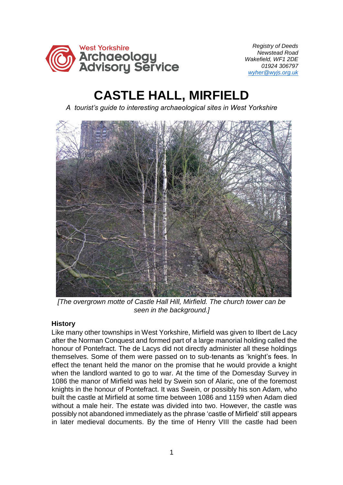

 *Registry of Deeds Newstead Road Wakefield, WF1 2DE 01924 306797 [wyher@wyjs.org.uk](mailto:wyher@wyjs.org.uk)*

## **CASTLE HALL, MIRFIELD**

*A tourist's guide to interesting archaeological sites in West Yorkshire*



*[The overgrown motte of Castle Hall Hill, Mirfield. The church tower can be seen in the background.]* 

## **History**

Like many other townships in West Yorkshire, Mirfield was given to Ilbert de Lacy after the Norman Conquest and formed part of a large manorial holding called the honour of Pontefract. The de Lacys did not directly administer all these holdings themselves. Some of them were passed on to sub-tenants as 'knight's fees. In effect the tenant held the manor on the promise that he would provide a knight when the landlord wanted to go to war. At the time of the Domesday Survey in 1086 the manor of Mirfield was held by Swein son of Alaric, one of the foremost knights in the honour of Pontefract. It was Swein, or possibly his son Adam, who built the castle at Mirfield at some time between 1086 and 1159 when Adam died without a male heir. The estate was divided into two. However, the castle was possibly not abandoned immediately as the phrase 'castle of Mirfield' still appears in later medieval documents. By the time of Henry VIII the castle had been